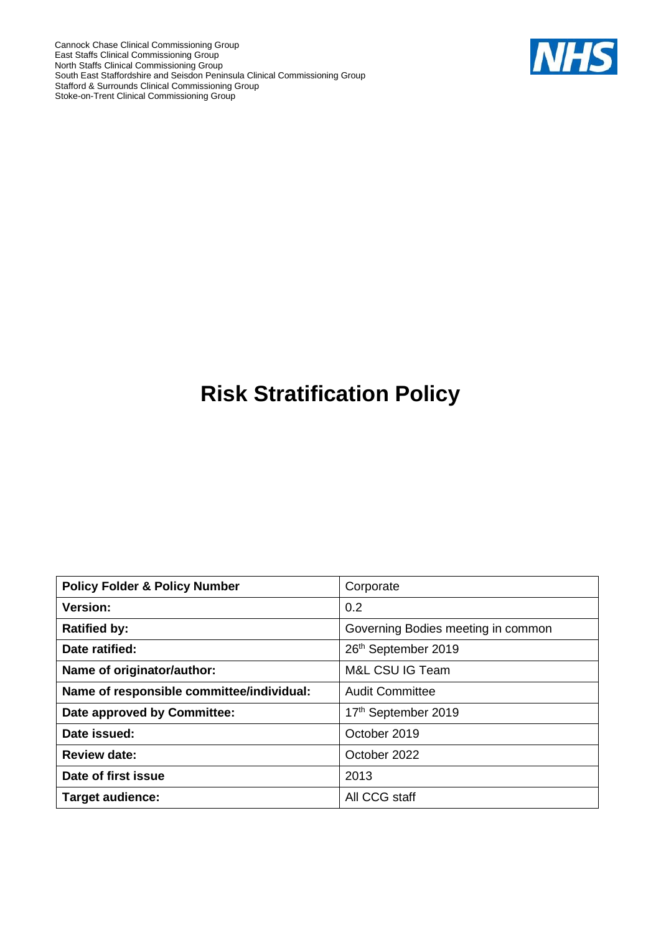

# **Risk Stratification Policy**

| <b>Policy Folder &amp; Policy Number</b>  | Corporate                          |
|-------------------------------------------|------------------------------------|
| Version:                                  | 0.2                                |
| <b>Ratified by:</b>                       | Governing Bodies meeting in common |
| Date ratified:                            | 26th September 2019                |
| Name of originator/author:                | M&L CSU IG Team                    |
| Name of responsible committee/individual: | <b>Audit Committee</b>             |
| Date approved by Committee:               | 17th September 2019                |
| Date issued:                              | October 2019                       |
| <b>Review date:</b>                       | October 2022                       |
| Date of first issue                       | 2013                               |
| <b>Target audience:</b>                   | All CCG staff                      |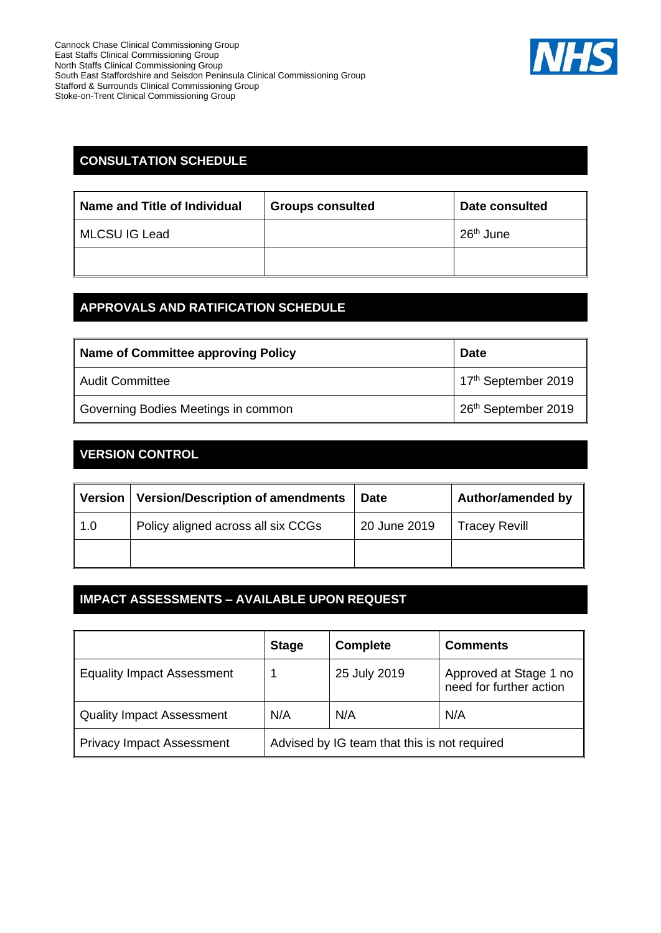

## **CONSULTATION SCHEDULE**

| Name and Title of Individual | <b>Groups consulted</b> | Date consulted        |
|------------------------------|-------------------------|-----------------------|
| MLCSU IG Lead                |                         | 26 <sup>th</sup> June |
|                              |                         |                       |

## **APPROVALS AND RATIFICATION SCHEDULE**

| <b>Name of Committee approving Policy</b> | <b>Date</b>                     |
|-------------------------------------------|---------------------------------|
| <b>Audit Committee</b>                    | 17th September 2019             |
| Governing Bodies Meetings in common       | 26 <sup>th</sup> September 2019 |

## **VERSION CONTROL**

| <b>Version</b> | <b>Version/Description of amendments</b> | <b>Date</b>  | <b>Author/amended by</b> |
|----------------|------------------------------------------|--------------|--------------------------|
| 1.0            | Policy aligned across all six CCGs       | 20 June 2019 | <b>Tracey Revill</b>     |
|                |                                          |              |                          |

## **IMPACT ASSESSMENTS – AVAILABLE UPON REQUEST**

|                                   | <b>Stage</b>                                 | <b>Complete</b> | <b>Comments</b>                                   |
|-----------------------------------|----------------------------------------------|-----------------|---------------------------------------------------|
| <b>Equality Impact Assessment</b> |                                              | 25 July 2019    | Approved at Stage 1 no<br>need for further action |
| Quality Impact Assessment         | N/A                                          | N/A             | N/A                                               |
| Privacy Impact Assessment         | Advised by IG team that this is not required |                 |                                                   |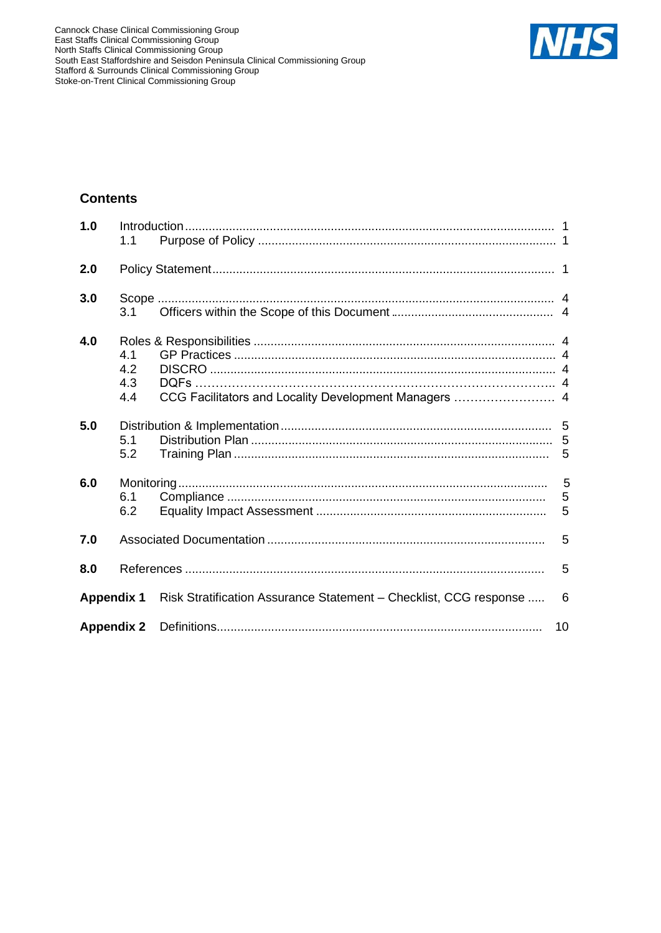

## **Contents**

| 1.0               |                          |                                                                   |             |
|-------------------|--------------------------|-------------------------------------------------------------------|-------------|
|                   | 1.1                      |                                                                   |             |
| 2.0               |                          |                                                                   |             |
| 3.0               | 3.1                      |                                                                   |             |
| 4.0               | 4.1<br>4.2<br>4.3<br>4.4 | CCG Facilitators and Locality Development Managers  4             |             |
| 5.0               | 5.1<br>5.2               |                                                                   | 5           |
| 6.0               | 6.1<br>6.2               |                                                                   | 5<br>5<br>5 |
| 7.0               |                          |                                                                   | 5           |
| 8.0               |                          |                                                                   | 5           |
| <b>Appendix 1</b> |                          | Risk Stratification Assurance Statement - Checklist, CCG response | 6           |
|                   |                          |                                                                   | 10          |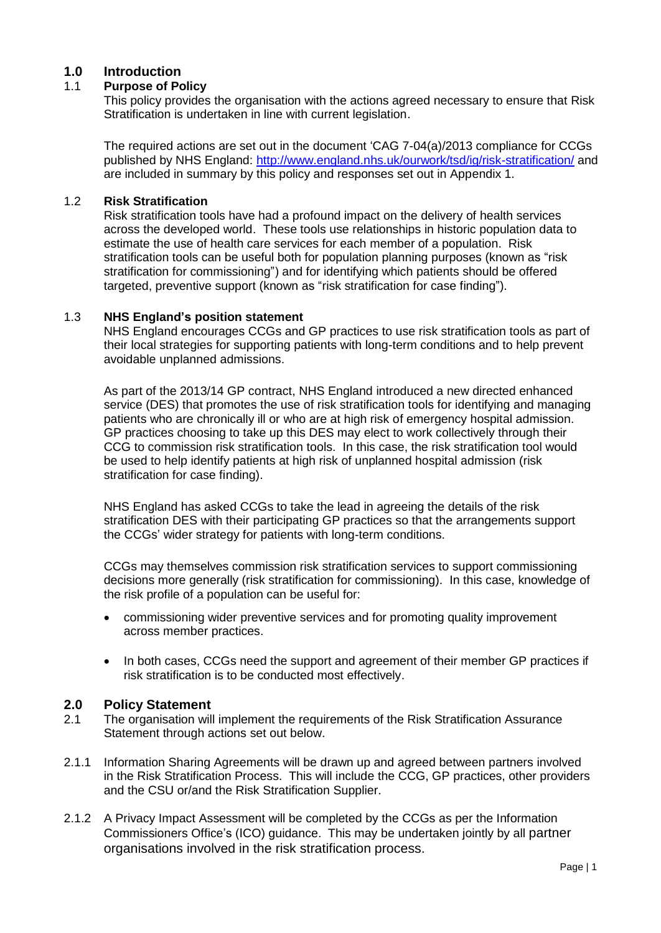## **1.0 Introduction**

#### **Purpose of Policy**

This policy provides the organisation with the actions agreed necessary to ensure that Risk Stratification is undertaken in line with current legislation.

The required actions are set out in the document 'CAG 7-04(a)/2013 compliance for CCGs published by NHS England:<http://www.england.nhs.uk/ourwork/tsd/ig/risk-stratification/> and are included in summary by this policy and responses set out in Appendix 1.

#### 1.2 **Risk Stratification**

Risk stratification tools have had a profound impact on the delivery of health services across the developed world. These tools use relationships in historic population data to estimate the use of health care services for each member of a population. Risk stratification tools can be useful both for population planning purposes (known as "risk stratification for commissioning") and for identifying which patients should be offered targeted, preventive support (known as "risk stratification for case finding").

#### 1.3 **NHS England's position statement**

NHS England encourages CCGs and GP practices to use risk stratification tools as part of their local strategies for supporting patients with long-term conditions and to help prevent avoidable unplanned admissions.

As part of the 2013/14 GP contract, NHS England introduced a new directed enhanced service (DES) that promotes the use of risk stratification tools for identifying and managing patients who are chronically ill or who are at high risk of emergency hospital admission. GP practices choosing to take up this DES may elect to work collectively through their CCG to commission risk stratification tools. In this case, the risk stratification tool would be used to help identify patients at high risk of unplanned hospital admission (risk stratification for case finding).

NHS England has asked CCGs to take the lead in agreeing the details of the risk stratification DES with their participating GP practices so that the arrangements support the CCGs' wider strategy for patients with long-term conditions.

CCGs may themselves commission risk stratification services to support commissioning decisions more generally (risk stratification for commissioning). In this case, knowledge of the risk profile of a population can be useful for:

- commissioning wider preventive services and for promoting quality improvement across member practices.
- In both cases, CCGs need the support and agreement of their member GP practices if risk stratification is to be conducted most effectively.

#### **2.0 Policy Statement**

- 2.1 The organisation will implement the requirements of the Risk Stratification Assurance Statement through actions set out below.
- 2.1.1 Information Sharing Agreements will be drawn up and agreed between partners involved in the Risk Stratification Process. This will include the CCG, GP practices, other providers and the CSU or/and the Risk Stratification Supplier.
- 2.1.2 A Privacy Impact Assessment will be completed by the CCGs as per the Information Commissioners Office's (ICO) guidance. This may be undertaken jointly by all partner organisations involved in the risk stratification process.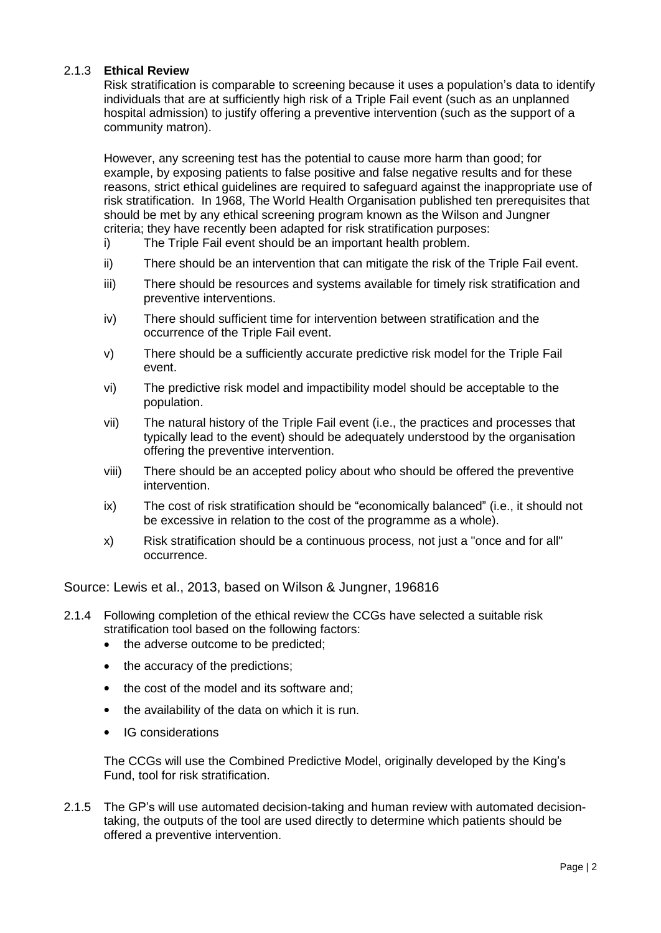#### 2.1.3 **Ethical Review**

Risk stratification is comparable to screening because it uses a population's data to identify individuals that are at sufficiently high risk of a Triple Fail event (such as an unplanned hospital admission) to justify offering a preventive intervention (such as the support of a community matron).

However, any screening test has the potential to cause more harm than good; for example, by exposing patients to false positive and false negative results and for these reasons, strict ethical guidelines are required to safeguard against the inappropriate use of risk stratification. In 1968, The World Health Organisation published ten prerequisites that should be met by any ethical screening program known as the Wilson and Jungner criteria; they have recently been adapted for risk stratification purposes:

- i) The Triple Fail event should be an important health problem.
- ii) There should be an intervention that can mitigate the risk of the Triple Fail event.
- iii) There should be resources and systems available for timely risk stratification and preventive interventions.
- iv) There should sufficient time for intervention between stratification and the occurrence of the Triple Fail event.
- v) There should be a sufficiently accurate predictive risk model for the Triple Fail event.
- vi) The predictive risk model and impactibility model should be acceptable to the population.
- vii) The natural history of the Triple Fail event (i.e., the practices and processes that typically lead to the event) should be adequately understood by the organisation offering the preventive intervention.
- viii) There should be an accepted policy about who should be offered the preventive intervention.
- ix) The cost of risk stratification should be "economically balanced" (i.e., it should not be excessive in relation to the cost of the programme as a whole).
- x) Risk stratification should be a continuous process, not just a "once and for all" occurrence.

Source: Lewis et al., 2013, based on Wilson & Jungner, 196816

- 2.1.4 Following completion of the ethical review the CCGs have selected a suitable risk stratification tool based on the following factors:
	- the adverse outcome to be predicted;
	- the accuracy of the predictions;
	- the cost of the model and its software and;
	- the availability of the data on which it is run.
	- IG considerations

The CCGs will use the Combined Predictive Model, originally developed by the King's Fund, tool for risk stratification.

2.1.5 The GP's will use automated decision-taking and human review with automated decisiontaking, the outputs of the tool are used directly to determine which patients should be offered a preventive intervention.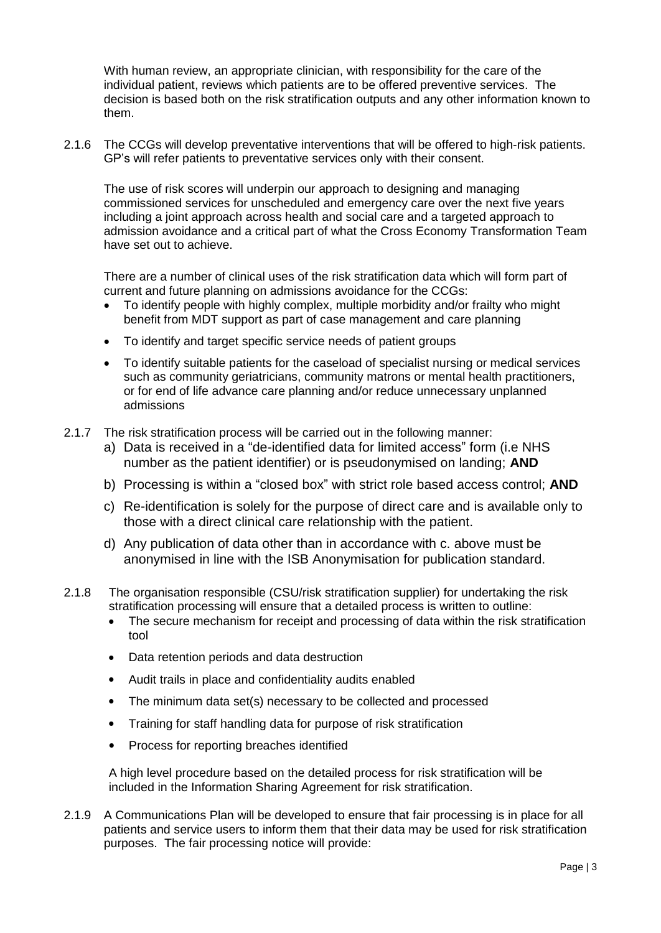With human review, an appropriate clinician, with responsibility for the care of the individual patient, reviews which patients are to be offered preventive services. The decision is based both on the risk stratification outputs and any other information known to them.

2.1.6 The CCGs will develop preventative interventions that will be offered to high-risk patients. GP's will refer patients to preventative services only with their consent.

The use of risk scores will underpin our approach to designing and managing commissioned services for unscheduled and emergency care over the next five years including a joint approach across health and social care and a targeted approach to admission avoidance and a critical part of what the Cross Economy Transformation Team have set out to achieve.

There are a number of clinical uses of the risk stratification data which will form part of current and future planning on admissions avoidance for the CCGs:

- To identify people with highly complex, multiple morbidity and/or frailty who might benefit from MDT support as part of case management and care planning
- To identify and target specific service needs of patient groups
- To identify suitable patients for the caseload of specialist nursing or medical services such as community geriatricians, community matrons or mental health practitioners, or for end of life advance care planning and/or reduce unnecessary unplanned admissions
- 2.1.7 The risk stratification process will be carried out in the following manner:
	- a) Data is received in a "de-identified data for limited access" form (i.e NHS number as the patient identifier) or is pseudonymised on landing; **AND**
	- b) Processing is within a "closed box" with strict role based access control; **AND**
	- c) Re-identification is solely for the purpose of direct care and is available only to those with a direct clinical care relationship with the patient.
	- d) Any publication of data other than in accordance with c. above must be anonymised in line with the ISB Anonymisation for publication standard.
- 2.1.8 The organisation responsible (CSU/risk stratification supplier) for undertaking the risk stratification processing will ensure that a detailed process is written to outline:
	- The secure mechanism for receipt and processing of data within the risk stratification tool
	- Data retention periods and data destruction
	- Audit trails in place and confidentiality audits enabled
	- The minimum data set(s) necessary to be collected and processed
	- Training for staff handling data for purpose of risk stratification
	- Process for reporting breaches identified

A high level procedure based on the detailed process for risk stratification will be included in the Information Sharing Agreement for risk stratification.

2.1.9 A Communications Plan will be developed to ensure that fair processing is in place for all patients and service users to inform them that their data may be used for risk stratification purposes. The fair processing notice will provide: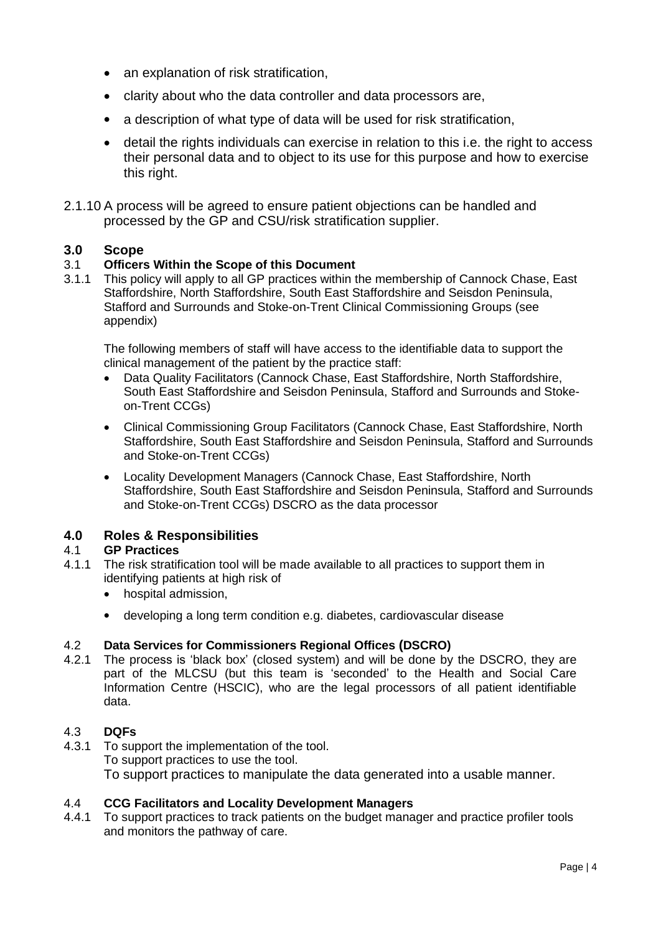- an explanation of risk stratification,
- clarity about who the data controller and data processors are,
- a description of what type of data will be used for risk stratification,
- detail the rights individuals can exercise in relation to this i.e. the right to access their personal data and to object to its use for this purpose and how to exercise this right.
- 2.1.10 A process will be agreed to ensure patient objections can be handled and processed by the GP and CSU/risk stratification supplier.

### **3.0 Scope**

#### 3.1 **Officers Within the Scope of this Document**

3.1.1 This policy will apply to all GP practices within the membership of Cannock Chase, East Staffordshire, North Staffordshire, South East Staffordshire and Seisdon Peninsula, Stafford and Surrounds and Stoke-on-Trent Clinical Commissioning Groups (see appendix)

The following members of staff will have access to the identifiable data to support the clinical management of the patient by the practice staff:

- Data Quality Facilitators (Cannock Chase, East Staffordshire, North Staffordshire, South East Staffordshire and Seisdon Peninsula, Stafford and Surrounds and Stokeon-Trent CCGs)
- Clinical Commissioning Group Facilitators (Cannock Chase, East Staffordshire, North Staffordshire, South East Staffordshire and Seisdon Peninsula, Stafford and Surrounds and Stoke-on-Trent CCGs)
- Locality Development Managers (Cannock Chase, East Staffordshire, North Staffordshire, South East Staffordshire and Seisdon Peninsula, Stafford and Surrounds and Stoke-on-Trent CCGs) DSCRO as the data processor

#### **4.0 Roles & Responsibilities**

#### 4.1 **GP Practices**

- 4.1.1 The risk stratification tool will be made available to all practices to support them in identifying patients at high risk of
	- hospital admission,
	- developing a long term condition e.g. diabetes, cardiovascular disease

#### 4.2 **Data Services for Commissioners Regional Offices (DSCRO)**

4.2.1 The process is 'black box' (closed system) and will be done by the DSCRO, they are part of the MLCSU (but this team is 'seconded' to the Health and Social Care Information Centre (HSCIC), who are the legal processors of all patient identifiable data.

#### 4.3 **DQFs**

4.3.1 To support the implementation of the tool. To support practices to use the tool. To support practices to manipulate the data generated into a usable manner.

#### 4.4 **CCG Facilitators and Locality Development Managers**

4.4.1 To support practices to track patients on the budget manager and practice profiler tools and monitors the pathway of care.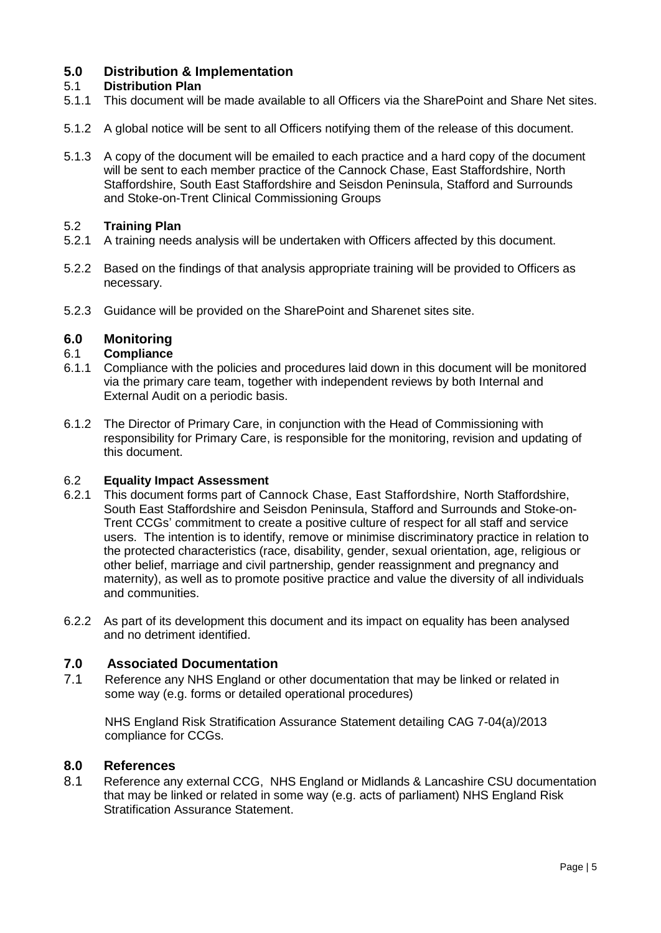## **5.0 Distribution & Implementation**

#### 5.1 **Distribution Plan**

- 5.1.1 This document will be made available to all Officers via the SharePoint and Share Net sites.
- 5.1.2 A global notice will be sent to all Officers notifying them of the release of this document.
- 5.1.3 A copy of the document will be emailed to each practice and a hard copy of the document will be sent to each member practice of the Cannock Chase, East Staffordshire, North Staffordshire, South East Staffordshire and Seisdon Peninsula, Stafford and Surrounds and Stoke-on-Trent Clinical Commissioning Groups

#### 5.2 **Training Plan**

- 5.2.1 A training needs analysis will be undertaken with Officers affected by this document.
- 5.2.2 Based on the findings of that analysis appropriate training will be provided to Officers as necessary.
- 5.2.3 Guidance will be provided on the SharePoint and Sharenet sites site.

#### **6.0 Monitoring**

#### 6.1 **Compliance**

- 6.1.1 Compliance with the policies and procedures laid down in this document will be monitored via the primary care team, together with independent reviews by both Internal and External Audit on a periodic basis.
- 6.1.2 The Director of Primary Care, in conjunction with the Head of Commissioning with responsibility for Primary Care, is responsible for the monitoring, revision and updating of this document.

#### 6.2 **Equality Impact Assessment**

- 6.2.1 This document forms part of Cannock Chase, East Staffordshire, North Staffordshire, South East Staffordshire and Seisdon Peninsula, Stafford and Surrounds and Stoke-on-Trent CCGs' commitment to create a positive culture of respect for all staff and service users. The intention is to identify, remove or minimise discriminatory practice in relation to the protected characteristics (race, disability, gender, sexual orientation, age, religious or other belief, marriage and civil partnership, gender reassignment and pregnancy and maternity), as well as to promote positive practice and value the diversity of all individuals and communities.
- 6.2.2 As part of its development this document and its impact on equality has been analysed and no detriment identified.

#### **7.0 Associated Documentation**

7.1 Reference any NHS England or other documentation that may be linked or related in some way (e.g. forms or detailed operational procedures)

NHS England Risk Stratification Assurance Statement detailing CAG 7-04(a)/2013 compliance for CCGs.

#### **8.0 References**

8.1 Reference any external CCG, NHS England or Midlands & Lancashire CSU documentation that may be linked or related in some way (e.g. acts of parliament) NHS England Risk Stratification Assurance Statement.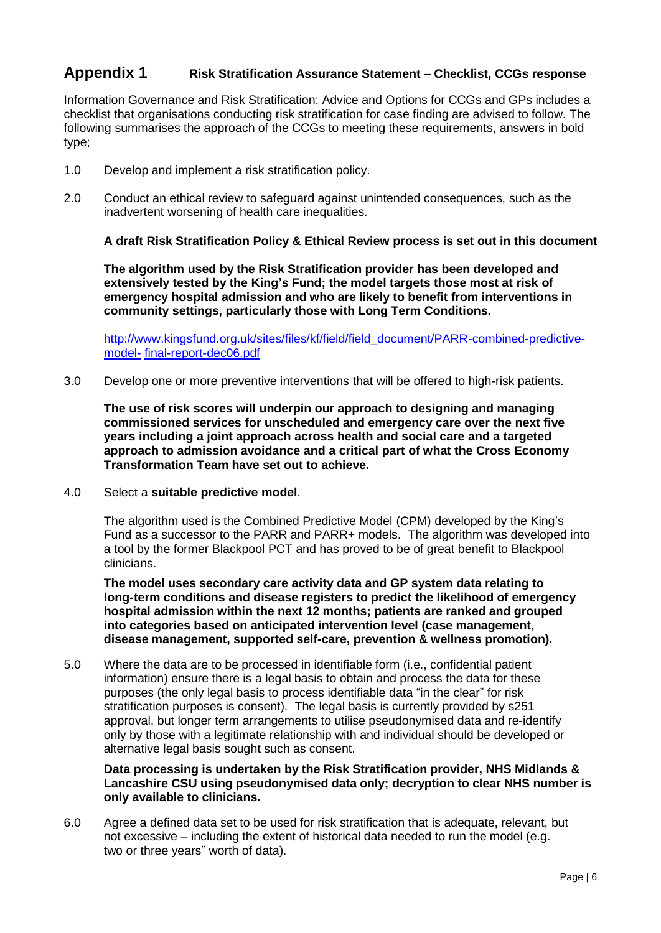### **Appendix 1 Risk Stratification Assurance Statement – Checklist, CCGs response**

Information Governance and Risk Stratification: Advice and Options for CCGs and GPs includes a checklist that organisations conducting risk stratification for case finding are advised to follow. The following summarises the approach of the CCGs to meeting these requirements, answers in bold type;

- 1.0 Develop and implement a risk stratification policy.
- 2.0 Conduct an ethical review to safeguard against unintended consequences, such as the inadvertent worsening of health care inequalities.

#### **A draft Risk Stratification Policy & Ethical Review process is set out in this document**

**The algorithm used by the Risk Stratification provider has been developed and extensively tested by the King's Fund; the model targets those most at risk of emergency hospital admission and who are likely to benefit from interventions in community settings, particularly those with Long Term Conditions.**

[http://www.kingsfund.org.uk/sites/files/kf/field/field\\_document/PARR-combined-predictive](http://www.kingsfund.org.uk/sites/files/kf/field/field_document/PARR-combined-predictive-model-final-report-dec06.pdf)[model-](http://www.kingsfund.org.uk/sites/files/kf/field/field_document/PARR-combined-predictive-model-final-report-dec06.pdf) [final-report-dec06.pdf](http://www.kingsfund.org.uk/sites/files/kf/field/field_document/PARR-combined-predictive-model-final-report-dec06.pdf)

3.0 Develop one or more preventive interventions that will be offered to high-risk patients.

**The use of risk scores will underpin our approach to designing and managing commissioned services for unscheduled and emergency care over the next five years including a joint approach across health and social care and a targeted approach to admission avoidance and a critical part of what the Cross Economy Transformation Team have set out to achieve.**

4.0 Select a **suitable predictive model**.

The algorithm used is the Combined Predictive Model (CPM) developed by the King's Fund as a successor to the PARR and PARR+ models. The algorithm was developed into a tool by the former Blackpool PCT and has proved to be of great benefit to Blackpool clinicians.

**The model uses secondary care activity data and GP system data relating to long-term conditions and disease registers to predict the likelihood of emergency hospital admission within the next 12 months; patients are ranked and grouped into categories based on anticipated intervention level (case management, disease management, supported self-care, prevention & wellness promotion).**

5.0 Where the data are to be processed in identifiable form (i.e., confidential patient information) ensure there is a legal basis to obtain and process the data for these purposes (the only legal basis to process identifiable data "in the clear" for risk stratification purposes is consent). The legal basis is currently provided by s251 approval, but longer term arrangements to utilise pseudonymised data and re-identify only by those with a legitimate relationship with and individual should be developed or alternative legal basis sought such as consent.

#### **Data processing is undertaken by the Risk Stratification provider, NHS Midlands & Lancashire CSU using pseudonymised data only; decryption to clear NHS number is only available to clinicians.**

6.0 Agree a defined data set to be used for risk stratification that is adequate, relevant, but not excessive – including the extent of historical data needed to run the model (e.g. two or three years" worth of data).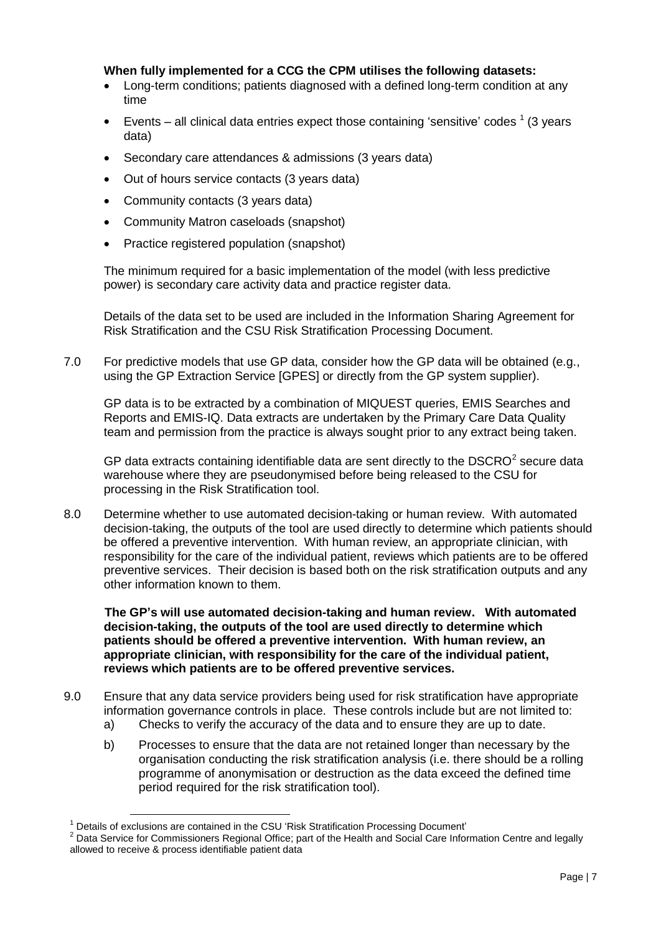#### **When fully implemented for a CCG the CPM utilises the following datasets:**

- Long-term conditions; patients diagnosed with a defined long-term condition at any time
- Events all clinical data entries expect those containing 'sensitive' codes  $^1$  (3 years data)
- Secondary care attendances & admissions (3 years data)
- Out of hours service contacts (3 years data)
- Community contacts (3 years data)
- Community Matron caseloads (snapshot)
- Practice registered population (snapshot)

The minimum required for a basic implementation of the model (with less predictive power) is secondary care activity data and practice register data.

Details of the data set to be used are included in the Information Sharing Agreement for Risk Stratification and the CSU Risk Stratification Processing Document.

7.0 For predictive models that use GP data, consider how the GP data will be obtained (e.g., using the GP Extraction Service [GPES] or directly from the GP system supplier).

GP data is to be extracted by a combination of MIQUEST queries, EMIS Searches and Reports and EMIS-IQ. Data extracts are undertaken by the Primary Care Data Quality team and permission from the practice is always sought prior to any extract being taken.

GP data extracts containing identifiable data are sent directly to the DSCRO $2$  secure data warehouse where they are pseudonymised before being released to the CSU for processing in the Risk Stratification tool.

8.0 Determine whether to use automated decision-taking or human review. With automated decision-taking, the outputs of the tool are used directly to determine which patients should be offered a preventive intervention. With human review, an appropriate clinician, with responsibility for the care of the individual patient, reviews which patients are to be offered preventive services. Their decision is based both on the risk stratification outputs and any other information known to them.

**The GP's will use automated decision-taking and human review. With automated decision-taking, the outputs of the tool are used directly to determine which patients should be offered a preventive intervention. With human review, an appropriate clinician, with responsibility for the care of the individual patient, reviews which patients are to be offered preventive services.**

- 9.0 Ensure that any data service providers being used for risk stratification have appropriate information governance controls in place. These controls include but are not limited to:
	- a) Checks to verify the accuracy of the data and to ensure they are up to date.
	- b) Processes to ensure that the data are not retained longer than necessary by the organisation conducting the risk stratification analysis (i.e. there should be a rolling programme of anonymisation or destruction as the data exceed the defined time period required for the risk stratification tool).

 $1$  Details of exclusions are contained in the CSU 'Risk Stratification Processing Document'

<sup>2</sup> Data Service for Commissioners Regional Office; part of the Health and Social Care Information Centre and legally allowed to receive & process identifiable patient data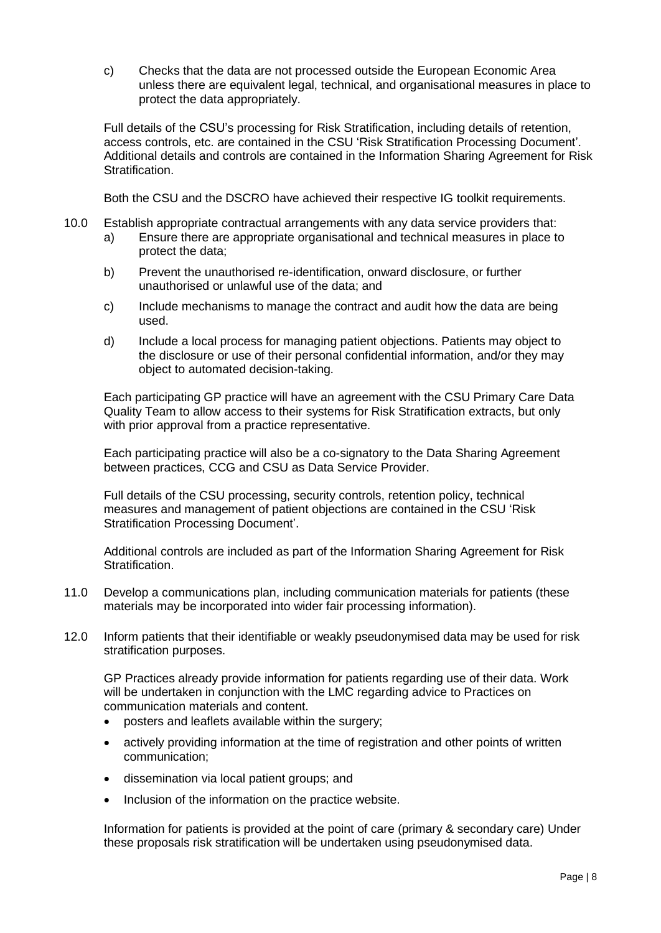c) Checks that the data are not processed outside the European Economic Area unless there are equivalent legal, technical, and organisational measures in place to protect the data appropriately.

Full details of the CSU's processing for Risk Stratification, including details of retention, access controls, etc. are contained in the CSU 'Risk Stratification Processing Document'. Additional details and controls are contained in the Information Sharing Agreement for Risk Stratification.

Both the CSU and the DSCRO have achieved their respective IG toolkit requirements.

- 10.0 Establish appropriate contractual arrangements with any data service providers that:
	- a) Ensure there are appropriate organisational and technical measures in place to protect the data;
	- b) Prevent the unauthorised re-identification, onward disclosure, or further unauthorised or unlawful use of the data; and
	- c) Include mechanisms to manage the contract and audit how the data are being used.
	- d) Include a local process for managing patient objections. Patients may object to the disclosure or use of their personal confidential information, and/or they may object to automated decision-taking.

Each participating GP practice will have an agreement with the CSU Primary Care Data Quality Team to allow access to their systems for Risk Stratification extracts, but only with prior approval from a practice representative.

Each participating practice will also be a co-signatory to the Data Sharing Agreement between practices, CCG and CSU as Data Service Provider.

Full details of the CSU processing, security controls, retention policy, technical measures and management of patient objections are contained in the CSU 'Risk Stratification Processing Document'.

Additional controls are included as part of the Information Sharing Agreement for Risk Stratification.

- 11.0 Develop a communications plan, including communication materials for patients (these materials may be incorporated into wider fair processing information).
- 12.0 Inform patients that their identifiable or weakly pseudonymised data may be used for risk stratification purposes.

GP Practices already provide information for patients regarding use of their data. Work will be undertaken in conjunction with the LMC regarding advice to Practices on communication materials and content.

- posters and leaflets available within the surgery;
- actively providing information at the time of registration and other points of written communication;
- dissemination via local patient groups; and
- Inclusion of the information on the practice website.

Information for patients is provided at the point of care (primary & secondary care) Under these proposals risk stratification will be undertaken using pseudonymised data.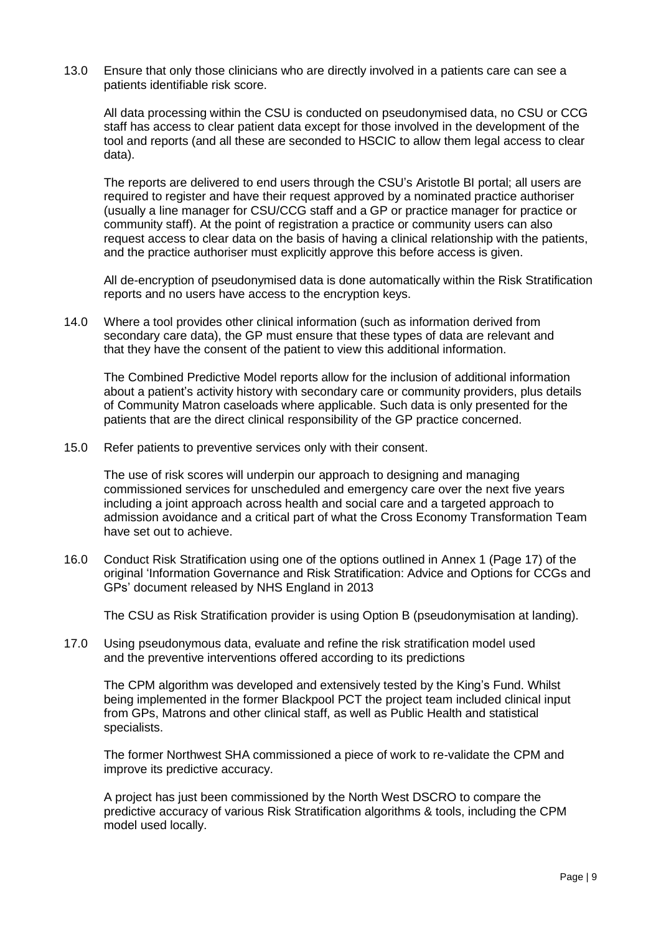13.0 Ensure that only those clinicians who are directly involved in a patients care can see a patients identifiable risk score.

All data processing within the CSU is conducted on pseudonymised data, no CSU or CCG staff has access to clear patient data except for those involved in the development of the tool and reports (and all these are seconded to HSCIC to allow them legal access to clear data).

The reports are delivered to end users through the CSU's Aristotle BI portal; all users are required to register and have their request approved by a nominated practice authoriser (usually a line manager for CSU/CCG staff and a GP or practice manager for practice or community staff). At the point of registration a practice or community users can also request access to clear data on the basis of having a clinical relationship with the patients, and the practice authoriser must explicitly approve this before access is given.

All de-encryption of pseudonymised data is done automatically within the Risk Stratification reports and no users have access to the encryption keys.

14.0 Where a tool provides other clinical information (such as information derived from secondary care data), the GP must ensure that these types of data are relevant and that they have the consent of the patient to view this additional information.

The Combined Predictive Model reports allow for the inclusion of additional information about a patient's activity history with secondary care or community providers, plus details of Community Matron caseloads where applicable. Such data is only presented for the patients that are the direct clinical responsibility of the GP practice concerned.

15.0 Refer patients to preventive services only with their consent.

The use of risk scores will underpin our approach to designing and managing commissioned services for unscheduled and emergency care over the next five years including a joint approach across health and social care and a targeted approach to admission avoidance and a critical part of what the Cross Economy Transformation Team have set out to achieve.

16.0 Conduct Risk Stratification using one of the options outlined in Annex 1 (Page 17) of the original 'Information Governance and Risk Stratification: Advice and Options for CCGs and GPs' document released by NHS England in 2013

The CSU as Risk Stratification provider is using Option B (pseudonymisation at landing).

17.0 Using pseudonymous data, evaluate and refine the risk stratification model used and the preventive interventions offered according to its predictions

The CPM algorithm was developed and extensively tested by the King's Fund. Whilst being implemented in the former Blackpool PCT the project team included clinical input from GPs, Matrons and other clinical staff, as well as Public Health and statistical specialists.

The former Northwest SHA commissioned a piece of work to re-validate the CPM and improve its predictive accuracy.

A project has just been commissioned by the North West DSCRO to compare the predictive accuracy of various Risk Stratification algorithms & tools, including the CPM model used locally.